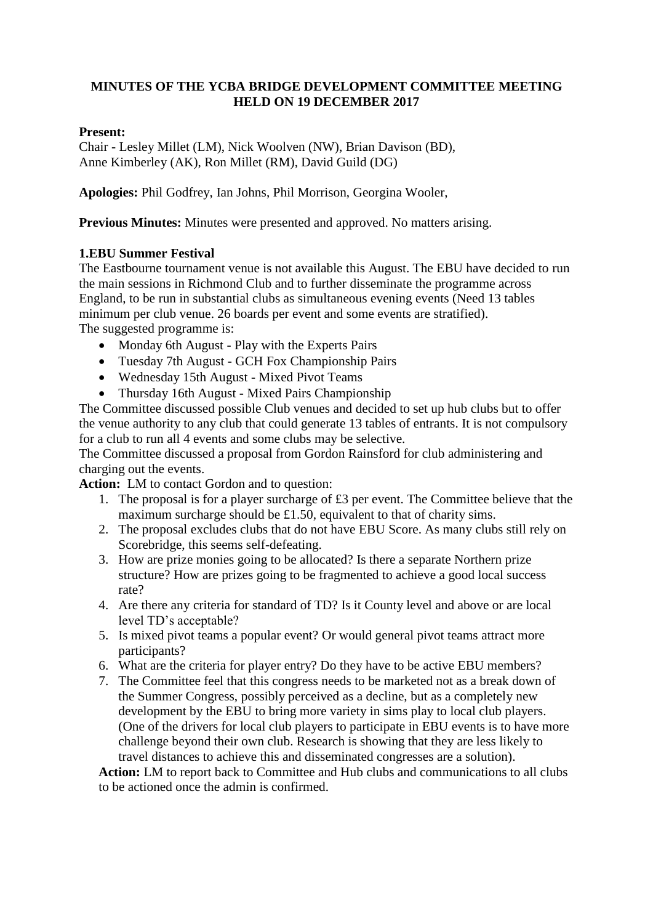### **MINUTES OF THE YCBA BRIDGE DEVELOPMENT COMMITTEE MEETING HELD ON 19 DECEMBER 2017**

#### **Present:**

Chair - Lesley Millet (LM), Nick Woolven (NW), Brian Davison (BD), Anne Kimberley (AK), Ron Millet (RM), David Guild (DG)

**Apologies:** Phil Godfrey, Ian Johns, Phil Morrison, Georgina Wooler,

**Previous Minutes:** Minutes were presented and approved. No matters arising.

### **1.EBU Summer Festival**

The Eastbourne tournament venue is not available this August. The EBU have decided to run the main sessions in Richmond Club and to further disseminate the programme across England, to be run in substantial clubs as simultaneous evening events (Need 13 tables minimum per club venue. 26 boards per event and some events are stratified). The suggested programme is:

- Monday 6th August Play with the Experts Pairs
- Tuesday 7th August GCH Fox Championship Pairs
- Wednesday 15th August Mixed Pivot Teams
- Thursday 16th August Mixed Pairs Championship

The Committee discussed possible Club venues and decided to set up hub clubs but to offer the venue authority to any club that could generate 13 tables of entrants. It is not compulsory for a club to run all 4 events and some clubs may be selective.

The Committee discussed a proposal from Gordon Rainsford for club administering and charging out the events.

**Action:** LM to contact Gordon and to question:

- 1. The proposal is for a player surcharge of £3 per event. The Committee believe that the maximum surcharge should be £1.50, equivalent to that of charity sims.
- 2. The proposal excludes clubs that do not have EBU Score. As many clubs still rely on Scorebridge, this seems self-defeating.
- 3. How are prize monies going to be allocated? Is there a separate Northern prize structure? How are prizes going to be fragmented to achieve a good local success rate?
- 4. Are there any criteria for standard of TD? Is it County level and above or are local level TD's acceptable?
- 5. Is mixed pivot teams a popular event? Or would general pivot teams attract more participants?
- 6. What are the criteria for player entry? Do they have to be active EBU members?
- 7. The Committee feel that this congress needs to be marketed not as a break down of the Summer Congress, possibly perceived as a decline, but as a completely new development by the EBU to bring more variety in sims play to local club players. (One of the drivers for local club players to participate in EBU events is to have more challenge beyond their own club. Research is showing that they are less likely to travel distances to achieve this and disseminated congresses are a solution).

**Action:** LM to report back to Committee and Hub clubs and communications to all clubs to be actioned once the admin is confirmed.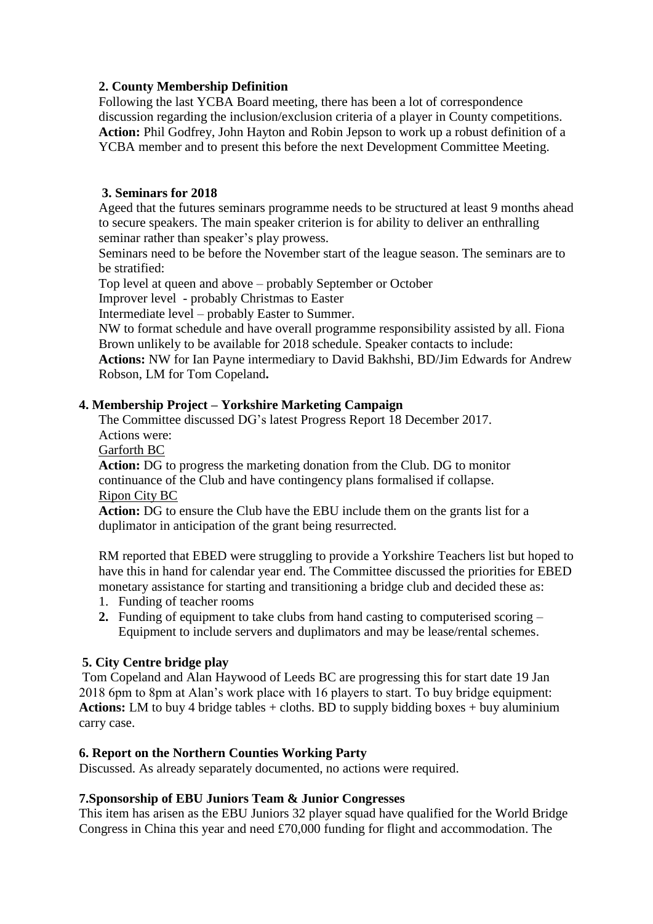## **2. County Membership Definition**

Following the last YCBA Board meeting, there has been a lot of correspondence discussion regarding the inclusion/exclusion criteria of a player in County competitions. **Action:** Phil Godfrey, John Hayton and Robin Jepson to work up a robust definition of a YCBA member and to present this before the next Development Committee Meeting.

## **3. Seminars for 2018**

Ageed that the futures seminars programme needs to be structured at least 9 months ahead to secure speakers. The main speaker criterion is for ability to deliver an enthralling seminar rather than speaker's play prowess.

Seminars need to be before the November start of the league season. The seminars are to be stratified:

Top level at queen and above – probably September or October

Improver level - probably Christmas to Easter

Intermediate level – probably Easter to Summer.

NW to format schedule and have overall programme responsibility assisted by all. Fiona Brown unlikely to be available for 2018 schedule. Speaker contacts to include:

**Actions:** NW for Ian Payne intermediary to David Bakhshi, BD/Jim Edwards for Andrew Robson, LM for Tom Copeland**.** 

### **4. Membership Project – Yorkshire Marketing Campaign**

The Committee discussed DG's latest Progress Report 18 December 2017. Actions were:

Garforth BC

**Action:** DG to progress the marketing donation from the Club. DG to monitor continuance of the Club and have contingency plans formalised if collapse. Ripon City BC

**Action:** DG to ensure the Club have the EBU include them on the grants list for a duplimator in anticipation of the grant being resurrected.

RM reported that EBED were struggling to provide a Yorkshire Teachers list but hoped to have this in hand for calendar year end. The Committee discussed the priorities for EBED monetary assistance for starting and transitioning a bridge club and decided these as:

- 1. Funding of teacher rooms
- **2.** Funding of equipment to take clubs from hand casting to computerised scoring Equipment to include servers and duplimators and may be lease/rental schemes.

### **5. City Centre bridge play**

Tom Copeland and Alan Haywood of Leeds BC are progressing this for start date 19 Jan 2018 6pm to 8pm at Alan's work place with 16 players to start. To buy bridge equipment: **Actions:** LM to buy 4 bridge tables + cloths. BD to supply bidding boxes + buy aluminium carry case.

### **6. Report on the Northern Counties Working Party**

Discussed. As already separately documented, no actions were required.

### **7.Sponsorship of EBU Juniors Team & Junior Congresses**

This item has arisen as the EBU Juniors 32 player squad have qualified for the World Bridge Congress in China this year and need £70,000 funding for flight and accommodation. The